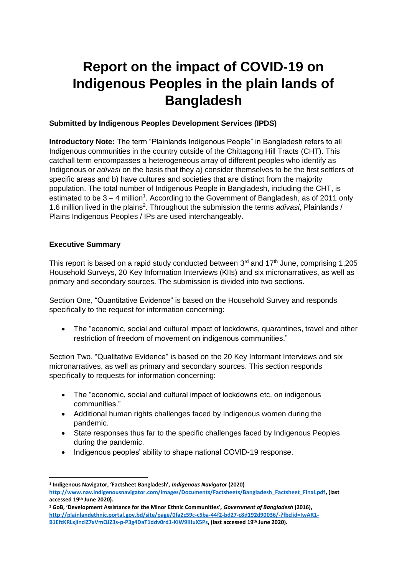# **Report on the impact of COVID-19 on Indigenous Peoples in the plain lands of Bangladesh**

#### **Submitted by Indigenous Peoples Development Services (IPDS)**

**Introductory Note:** The term "Plainlands Indigenous People" in Bangladesh refers to all Indigenous communities in the country outside of the Chittagong Hill Tracts (CHT). This catchall term encompasses a heterogeneous array of different peoples who identify as Indigenous or *adivasi* on the basis that they a) consider themselves to be the first settlers of specific areas and b) have cultures and societies that are distinct from the majority population. The total number of Indigenous People in Bangladesh, including the CHT, is estimated to be  $3 - 4$  million<sup>1</sup>. According to the Government of Bangladesh, as of 2011 only 1.6 million lived in the plains<sup>2</sup>. Throughout the submission the terms *adivasi*, Plainlands / Plains Indigenous Peoples / IPs are used interchangeably.

### **Executive Summary**

This report is based on a rapid study conducted between  $3<sup>rd</sup>$  and  $17<sup>th</sup>$  June, comprising 1,205 Household Surveys, 20 Key Information Interviews (KIIs) and six micronarratives, as well as primary and secondary sources. The submission is divided into two sections.

Section One, "Quantitative Evidence" is based on the Household Survey and responds specifically to the request for information concerning:

• The "economic, social and cultural impact of lockdowns, quarantines, travel and other restriction of freedom of movement on indigenous communities."

Section Two, "Qualitative Evidence" is based on the 20 Key Informant Interviews and six micronarratives, as well as primary and secondary sources. This section responds specifically to requests for information concerning:

- The "economic, social and cultural impact of lockdowns etc. on indigenous communities."
- Additional human rights challenges faced by Indigenous women during the pandemic.
- State responses thus far to the specific challenges faced by Indigenous Peoples during the pandemic.
- Indigenous peoples' ability to shape national COVID-19 response.

**<sup>1</sup> Indigenous Navigator, 'Factsheet Bangladesh',** *Indigenous Navigator* **(2020)** 

**[http://www.nav.indigenousnavigator.com/images/Documents/Factsheets/Bangladesh\\_Factsheet\\_Final.pdf,](http://www.nav.indigenousnavigator.com/images/Documents/Factsheets/Bangladesh_Factsheet_Final.pdf) (last accessed 19th June 2020).**

**<sup>2</sup> GoB, 'Development Assistance for the Minor Ethnic Communities',** *Government of Bangladesh* **(2016), [http://plainlandethnic.portal.gov.bd/site/page/0fa2c59c-c5ba-44f2-bd27-c8d192d90036/-?fbclid=IwAR1-](http://plainlandethnic.portal.gov.bd/site/page/0fa2c59c-c5ba-44f2-bd27-c8d192d90036/-?fbclid=IwAR1-B1EfzKRLxjinciZ7xVmOJZ3s-p-P3g4DaT1ddv0rd1-KiW9IIIuX5Ps) [B1EfzKRLxjinciZ7xVmOJZ3s-p-P3g4DaT1ddv0rd1-KiW9IIIuX5Ps,](http://plainlandethnic.portal.gov.bd/site/page/0fa2c59c-c5ba-44f2-bd27-c8d192d90036/-?fbclid=IwAR1-B1EfzKRLxjinciZ7xVmOJZ3s-p-P3g4DaT1ddv0rd1-KiW9IIIuX5Ps) (last accessed 19th June 2020).**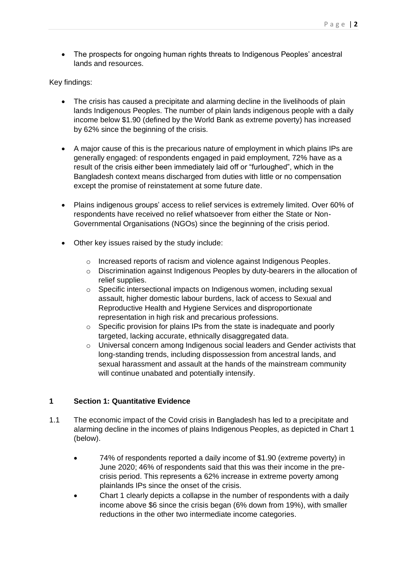• The prospects for ongoing human rights threats to Indigenous Peoples' ancestral lands and resources.

### Key findings:

- The crisis has caused a precipitate and alarming decline in the livelihoods of plain lands Indigenous Peoples. The number of plain lands indigenous people with a daily income below \$1.90 (defined by the World Bank as extreme poverty) has increased by 62% since the beginning of the crisis.
- A major cause of this is the precarious nature of employment in which plains IPs are generally engaged: of respondents engaged in paid employment, 72% have as a result of the crisis either been immediately laid off or "furloughed", which in the Bangladesh context means discharged from duties with little or no compensation except the promise of reinstatement at some future date.
- Plains indigenous groups' access to relief services is extremely limited. Over 60% of respondents have received no relief whatsoever from either the State or Non-Governmental Organisations (NGOs) since the beginning of the crisis period.
- Other key issues raised by the study include:
	- o Increased reports of racism and violence against Indigenous Peoples.
	- $\circ$  Discrimination against Indigenous Peoples by duty-bearers in the allocation of relief supplies.
	- $\circ$  Specific intersectional impacts on Indigenous women, including sexual assault, higher domestic labour burdens, lack of access to Sexual and Reproductive Health and Hygiene Services and disproportionate representation in high risk and precarious professions.
	- o Specific provision for plains IPs from the state is inadequate and poorly targeted, lacking accurate, ethnically disaggregated data.
	- o Universal concern among Indigenous social leaders and Gender activists that long-standing trends, including dispossession from ancestral lands, and sexual harassment and assault at the hands of the mainstream community will continue unabated and potentially intensify.

#### **1 Section 1: Quantitative Evidence**

- 1.1 The economic impact of the Covid crisis in Bangladesh has led to a precipitate and alarming decline in the incomes of plains Indigenous Peoples, as depicted in Chart 1 (below).
	- 74% of respondents reported a daily income of \$1.90 (extreme poverty) in June 2020; 46% of respondents said that this was their income in the precrisis period. This represents a 62% increase in extreme poverty among plainlands IPs since the onset of the crisis.
	- Chart 1 clearly depicts a collapse in the number of respondents with a daily income above \$6 since the crisis began (6% down from 19%), with smaller reductions in the other two intermediate income categories.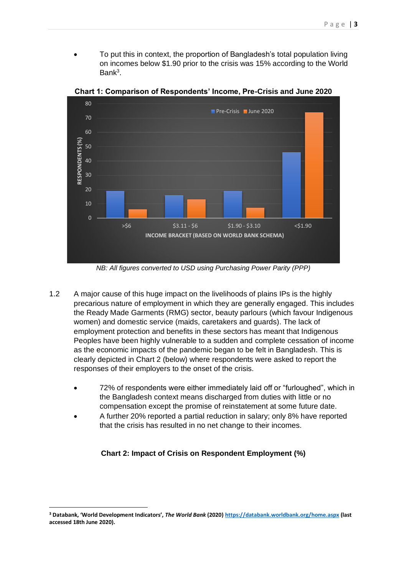• To put this in context, the proportion of Bangladesh's total population living on incomes below \$1.90 prior to the crisis was 15% according to the World Bank<sup>3</sup>.



**Chart 1: Comparison of Respondents' Income, Pre-Crisis and June 2020**

*NB: All figures converted to USD using Purchasing Power Parity (PPP)* 

- 1.2 A major cause of this huge impact on the livelihoods of plains IPs is the highly precarious nature of employment in which they are generally engaged. This includes the Ready Made Garments (RMG) sector, beauty parlours (which favour Indigenous women) and domestic service (maids, caretakers and guards). The lack of employment protection and benefits in these sectors has meant that Indigenous Peoples have been highly vulnerable to a sudden and complete cessation of income as the economic impacts of the pandemic began to be felt in Bangladesh. This is clearly depicted in Chart 2 (below) where respondents were asked to report the responses of their employers to the onset of the crisis.
	- 72% of respondents were either immediately laid off or "furloughed", which in the Bangladesh context means discharged from duties with little or no compensation except the promise of reinstatement at some future date.
	- A further 20% reported a partial reduction in salary; only 8% have reported that the crisis has resulted in no net change to their incomes.

#### **Chart 2: Impact of Crisis on Respondent Employment (%)**

**<sup>3</sup> Databank, 'World Development Indicators',** *The World Bank* **(2020[\) https://databank.worldbank.org/home.aspx](https://databank.worldbank.org/home.aspx) (last accessed 18th June 2020).**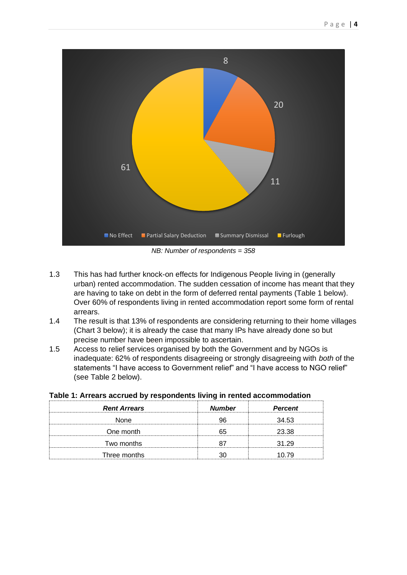

- 
- 1.3 This has had further knock-on effects for Indigenous People living in (generally urban) rented accommodation. The sudden cessation of income has meant that they are having to take on debt in the form of deferred rental payments (Table 1 below). Over 60% of respondents living in rented accommodation report some form of rental arrears.
- 1.4 The result is that 13% of respondents are considering returning to their home villages (Chart 3 below); it is already the case that many IPs have already done so but precise number have been impossible to ascertain.
- 1.5 Access to relief services organised by both the Government and by NGOs is inadequate: 62% of respondents disagreeing or strongly disagreeing with *both* of the statements "I have access to Government relief" and "I have access to NGO relief" (see Table 2 below).

| <b>Rent Arrears</b> | <b>Number</b> | <b>Percent</b> |  |
|---------------------|---------------|----------------|--|
| None                |               | 34 53          |  |
| One month           |               | 23.38          |  |
| Two months          |               | :1 20          |  |
| Three months        |               |                |  |

| Table 1: Arrears accrued by respondents living in rented accommodation |  |  |
|------------------------------------------------------------------------|--|--|
|------------------------------------------------------------------------|--|--|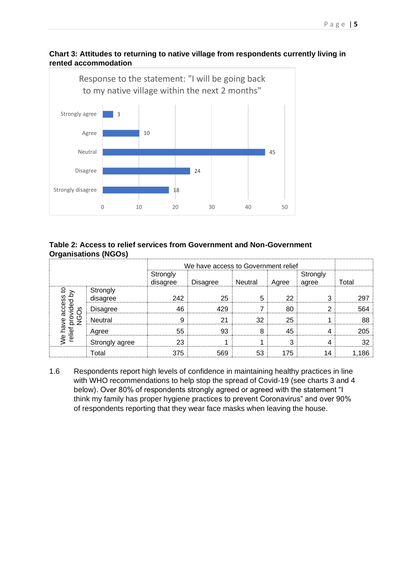## **Chart 3: Attitudes to returning to native village from respondents currently living in rented accommodation**



# **Table 2: Access to relief services from Government and Non-Government Organisations (NGOs)**

|                                              |                      | We have access to Government relief |          |         |       |                   |       |
|----------------------------------------------|----------------------|-------------------------------------|----------|---------|-------|-------------------|-------|
|                                              |                      | Strongly<br>disagree                | Disagree | Neutral | Agree | Strongly<br>agree | Total |
| 요<br>We have accurated<br>relief provided by | Strongly<br>disagree | 242                                 | 25       | 5       | 22    | З                 | 297   |
|                                              | Disagree             | 46                                  | 429      |         | 80    | ⌒                 | 564   |
| <b>NGOS</b>                                  | Neutral              | 9                                   | 21       | 32      | 25    |                   | 88    |
|                                              | Agree                | 55                                  | 93       | 8       | 45    |                   | 205   |
|                                              | Strongly agree       | 23                                  |          |         | 3     |                   | 32    |
|                                              | Total                | 375                                 | 569      | 53      | 175   | 14                | 1,186 |

1.6 Respondents report high levels of confidence in maintaining healthy practices in line with WHO recommendations to help stop the spread of Covid-19 (see charts 3 and 4 below). Over 80% of respondents strongly agreed or agreed with the statement "I think my family has proper hygiene practices to prevent Coronavirus" and over 90% of respondents reporting that they wear face masks when leaving the house.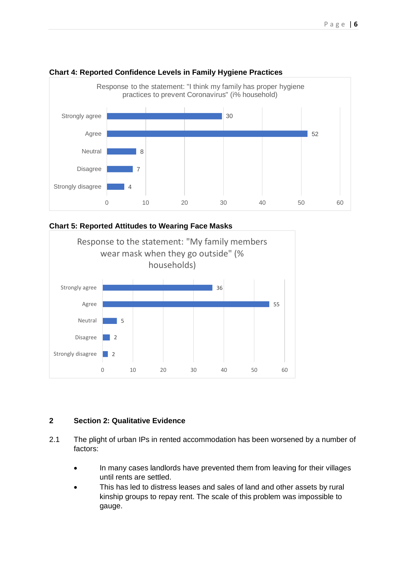

#### **Chart 4: Reported Confidence Levels in Family Hygiene Practices**





# **2 Section 2: Qualitative Evidence**

- 2.1 The plight of urban IPs in rented accommodation has been worsened by a number of factors:
	- In many cases landlords have prevented them from leaving for their villages until rents are settled.
	- This has led to distress leases and sales of land and other assets by rural kinship groups to repay rent. The scale of this problem was impossible to gauge.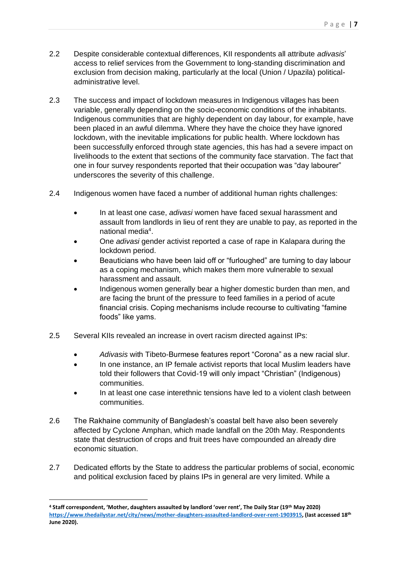- 2.2 Despite considerable contextual differences, KII respondents all attribute *adivasis*' access to relief services from the Government to long-standing discrimination and exclusion from decision making, particularly at the local (Union / Upazila) politicaladministrative level.
- 2.3 The success and impact of lockdown measures in Indigenous villages has been variable, generally depending on the socio-economic conditions of the inhabitants. Indigenous communities that are highly dependent on day labour, for example, have been placed in an awful dilemma. Where they have the choice they have ignored lockdown, with the inevitable implications for public health. Where lockdown has been successfully enforced through state agencies, this has had a severe impact on livelihoods to the extent that sections of the community face starvation. The fact that one in four survey respondents reported that their occupation was "day labourer" underscores the severity of this challenge.
- 2.4 Indigenous women have faced a number of additional human rights challenges:
	- In at least one case, *adivasi* women have faced sexual harassment and assault from landlords in lieu of rent they are unable to pay, as reported in the national media<sup>4</sup>.
	- One *adivasi* gender activist reported a case of [rape](https://www.mzamin.com/article.php?mzamin=226845) in Kalapara during the lockdown period.
	- Beauticians who have been laid off or "furloughed" are turning to day labour as a coping mechanism, which makes them more vulnerable to sexual harassment and assault.
	- Indigenous women generally bear a higher domestic burden than men, and are facing the brunt of the pressure to feed families in a period of acute financial crisis. Coping mechanisms include recourse to cultivating "famine foods" like yams.
- 2.5 Several KIIs revealed an increase in overt racism directed against IPs:
	- *Adivasis* with Tibeto-Burmese features report "Corona" as a new racial slur.
	- In one instance, an IP female activist reports that local Muslim leaders have told their followers that Covid-19 will only impact "Christian" (Indigenous) communities.
	- In at least one case interethnic tensions have led to a violent clash between communities.
- 2.6 The Rakhaine community of Bangladesh's coastal belt have also been severely affected by Cyclone Amphan, which made landfall on the 20th May. Respondents state that destruction of crops and fruit trees have compounded an already dire economic situation.
- 2.7 Dedicated efforts by the State to address the particular problems of social, economic and political exclusion faced by plains IPs in general are very limited. While a

**<sup>4</sup> Staff correspondent, 'Mother, daughters assaulted by landlord 'over rent', The Daily Star (19th May 2020) [https://www.thedailystar.net/city/news/mother-daughters-assaulted-landlord-over-rent-1903915,](https://www.thedailystar.net/city/news/mother-daughters-assaulted-landlord-over-rent-1903915) (last accessed 18th June 2020).**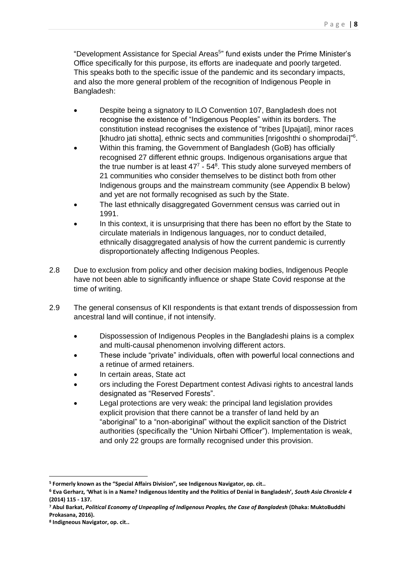"Development Assistance for Special Areas<sup>5</sup>" fund exists under the Prime Minister's Office specifically for this purpose, its efforts are inadequate and poorly targeted. This speaks both to the specific issue of the pandemic and its secondary impacts, and also the more general problem of the recognition of Indigenous People in Bangladesh:

- Despite being a signatory to ILO Convention 107, Bangladesh does not recognise the existence of "Indigenous Peoples" within its borders. The constitution instead recognises the existence of "tribes [Upajati], minor races [khudro jati shotta], ethnic sects and communities [nrigoshthi o shomprodai]"<sup>6</sup>.
- Within this framing, the Government of Bangladesh (GoB) has officially recognised 27 different ethnic groups. Indigenous organisations argue that the true number is at least  $47^7$  -  $54^8$ . This study alone surveyed members of 21 communities who consider themselves to be distinct both from other Indigenous groups and the mainstream community (see Appendix B below) and yet are not formally recognised as such by the State.
- The last ethnically disaggregated Government census was carried out in 1991.
- In this context, it is unsurprising that there has been no effort by the State to circulate materials in Indigenous languages, nor to conduct detailed, ethnically disaggregated analysis of how the current pandemic is currently disproportionately affecting Indigenous Peoples.
- 2.8 Due to exclusion from policy and other decision making bodies, Indigenous People have not been able to significantly influence or shape State Covid response at the time of writing.
- 2.9 The general consensus of KII respondents is that extant trends of dispossession from ancestral land will continue, if not intensify.
	- Dispossession of Indigenous Peoples in the Bangladeshi plains is a complex and multi-causal phenomenon involving different actors.
	- These include "private" individuals, often with powerful local connections and a retinue of armed retainers.
	- In certain areas, State act
	- ors including the Forest Department contest Adivasi rights to ancestral lands designated as "Reserved Forests".
	- Legal protections are very weak: the principal land legislation provides explicit provision that there cannot be a transfer of land held by an "aboriginal" to a "non-aboriginal" without the explicit sanction of the District authorities (specifically the "Union Nirbahi Officer"). Implementation is weak, and only 22 groups are formally recognised under this provision.

**<sup>5</sup> Formerly known as the "Special Affairs Division", see Indigenous Navigator, op. cit..**

**<sup>6</sup> Eva Gerharz, 'What is in a Name? Indigenous Identity and the Politics of Denial in Bangladesh',** *South Asia Chronicle 4*  **(2014) 115 - 137.**

**<sup>7</sup> Abul Barkat,** *Political Economy of Unpeopling of Indigenous Peoples, the Case of Bangladesh* **(Dhaka: MuktoBuddhi Prokasana, 2016).**

**<sup>8</sup> Indigneous Navigator, op. cit..**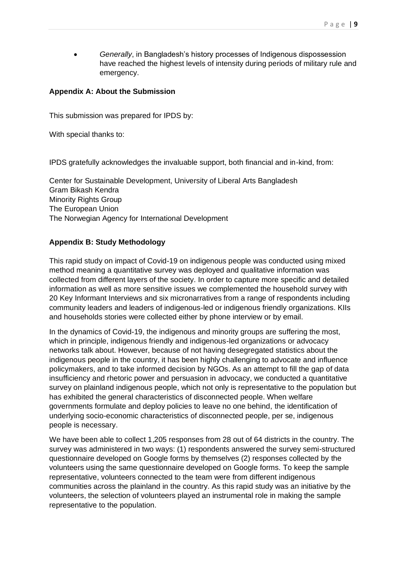• *Generally*, in Bangladesh's history processes of Indigenous dispossession have reached the highest levels of intensity during periods of military rule and emergency.

### **Appendix A: About the Submission**

This submission was prepared for IPDS by:

With special thanks to:

IPDS gratefully acknowledges the invaluable support, both financial and in-kind, from:

Center for Sustainable Development, University of Liberal Arts Bangladesh Gram Bikash Kendra Minority Rights Group The European Union The Norwegian Agency for International Development

### **Appendix B: Study Methodology**

This rapid study on impact of Covid-19 on indigenous people was conducted using mixed method meaning a quantitative survey was deployed and qualitative information was collected from different layers of the society. In order to capture more specific and detailed information as well as more sensitive issues we complemented the household survey with 20 Key Informant Interviews and six micronarratives from a range of respondents including community leaders and leaders of indigenous-led or indigenous friendly organizations. KIIs and households stories were collected either by phone interview or by email.

In the dynamics of Covid-19, the indigenous and minority groups are suffering the most, which in principle, indigenous friendly and indigenous-led organizations or advocacy networks talk about. However, because of not having desegregated statistics about the indigenous people in the country, it has been highly challenging to advocate and influence policymakers, and to take informed decision by NGOs. As an attempt to fill the gap of data insufficiency and rhetoric power and persuasion in advocacy, we conducted a quantitative survey on plainland indigenous people, which not only is representative to the population but has exhibited the general characteristics of disconnected people. When welfare governments formulate and deploy policies to leave no one behind, the identification of underlying socio-economic characteristics of disconnected people, per se, indigenous people is necessary.

We have been able to collect 1,205 responses from 28 out of 64 districts in the country. The survey was administered in two ways: (1) respondents answered the survey semi-structured questionnaire developed on Google forms by themselves (2) responses collected by the volunteers using the same questionnaire developed on Google forms. To keep the sample representative, volunteers connected to the team were from different indigenous communities across the plainland in the country. As this rapid study was an initiative by the volunteers, the selection of volunteers played an instrumental role in making the sample representative to the population.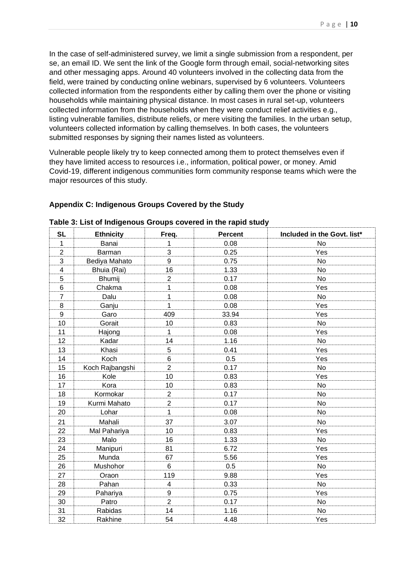In the case of self-administered survey, we limit a single submission from a respondent, per se, an email ID. We sent the link of the Google form through email, social-networking sites and other messaging apps. Around 40 volunteers involved in the collecting data from the field, were trained by conducting online webinars, supervised by 6 volunteers. Volunteers collected information from the respondents either by calling them over the phone or visiting households while maintaining physical distance. In most cases in rural set-up, volunteers collected information from the households when they were conduct relief activities e.g., listing vulnerable families, distribute reliefs, or mere visiting the families. In the urban setup, volunteers collected information by calling themselves. In both cases, the volunteers submitted responses by signing their names listed as volunteers.

Vulnerable people likely try to keep connected among them to protect themselves even if they have limited access to resources i.e., information, political power, or money. Amid Covid-19, different indigenous communities form community response teams which were the major resources of this study.

#### **Appendix C: Indigenous Groups Covered by the Study**

| <b>SL</b>      | <b>Ethnicity</b> | Freq.          | <b>Percent</b> | Included in the Govt. list* |
|----------------|------------------|----------------|----------------|-----------------------------|
| 1              | Banai            | 1              | 0.08           | No                          |
| $\mathbf 2$    | Barman           | 3              | 0.25           | Yes                         |
| 3              | Bediya Mahato    | 9              | 0.75           | <b>No</b>                   |
| 4              | Bhuia (Rai)      | 16             | 1.33           | <b>No</b>                   |
| 5              | Bhumij           | $\overline{2}$ | 0.17           | <b>No</b>                   |
| 6              | Chakma           | 1              | 0.08           | Yes                         |
| $\overline{7}$ | Dalu             | 1              | 0.08           | No                          |
| 8              | Ganju            | 1              | 0.08           | Yes                         |
| 9              | Garo             | 409            | 33.94          | Yes                         |
| 10             | Gorait           | 10             | 0.83           | No                          |
| 11             | Hajong           | $\mathbf{1}$   | 0.08           | Yes                         |
| 12             | Kadar            | 14             | 1.16           | <b>No</b>                   |
| 13             | Khasi            | 5              | 0.41           | Yes                         |
| 14             | Koch             | $\,6$          | 0.5            | Yes                         |
| 15             | Koch Rajbangshi  | $\overline{2}$ | 0.17           | <b>No</b>                   |
| 16             | Kole             | 10             | 0.83           | Yes                         |
| 17             | Kora             | 10             | 0.83           | No                          |
| 18             | Kormokar         | $\overline{c}$ | 0.17           | No                          |
| 19             | Kurmi Mahato     | $\overline{2}$ | 0.17           | No                          |
| 20             | Lohar            | $\mathbf{1}$   | 0.08           | <b>No</b>                   |
| 21             | Mahali           | 37             | 3.07           | No                          |
| 22             | Mal Pahariya     | 10             | 0.83           | Yes                         |
| 23             | Malo             | 16             | 1.33           | <b>No</b>                   |
| 24             | Manipuri         | 81             | 6.72           | Yes                         |
| 25             | Munda            | 67             | 5.56           | Yes                         |
| 26             | Mushohor         | 6              | 0.5            | <b>No</b>                   |
| 27             | Oraon            | 119            | 9.88           | Yes                         |
| 28             | Pahan            | 4              | 0.33           | No                          |
| 29             | Pahariya         | $\mathsf g$    | 0.75           | Yes                         |
| 30             | Patro            | $\overline{2}$ | 0.17           | <b>No</b>                   |
| 31             | Rabidas          | 14             | 1.16           | <b>No</b>                   |
| 32             | Rakhine          | 54             | 4.48           | Yes                         |

#### **Table 3: List of Indigenous Groups covered in the rapid study**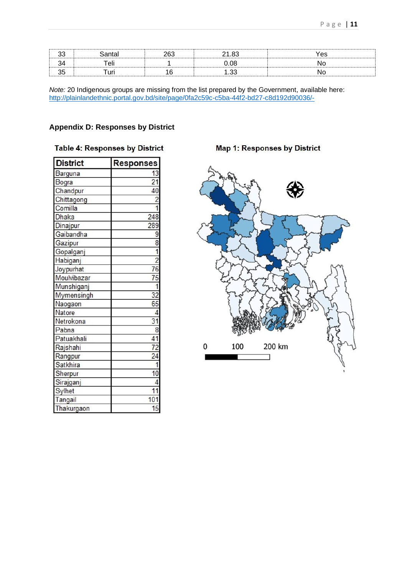|  | በዖ |  |
|--|----|--|
|  |    |  |

*Note:* 20 Indigenous groups are missing from the list prepared by the Government, available here: <http://plainlandethnic.portal.gov.bd/site/page/0fa2c59c-c5ba-44f2-bd27-c8d192d90036/->

# **Appendix D: Responses by District**

| <b>Table 4: Responses by District</b> |  |  |  |
|---------------------------------------|--|--|--|
|                                       |  |  |  |

| <b>District</b>  | <b>Responses</b> |
|------------------|------------------|
| Barguna          | 13               |
| Bogra            | $\overline{21}$  |
| Chandpur         | 40               |
| Chittagong       |                  |
| Comilla          |                  |
| <b>Chaka</b>     | 248              |
| <b>Jinajpur</b>  | 289              |
| <b>Gaibandha</b> | 9                |
| Gazipur          | $\overline{8}$   |
| Gopalganj        |                  |
| Habiganj         |                  |
| Joypurhat        | 76               |
| Moulvibazar      | 75               |
| Munshiganj       |                  |
| Mymensingh       | 32               |
| Naogaon          | 65               |
| Natore           |                  |
| Netrokona        | 31               |
| <b>Pabna</b>     | 8                |
| atuakhali        | 41               |
| Rajshahi         | 72               |
| Rangpur          | $\overline{24}$  |
| Satkhira         |                  |
| Sherpur          |                  |
| Sirajganj        |                  |
| Sylhet           |                  |
| angail           | 10               |
| hakurgaon        | 15               |

Map 1: Responses by District